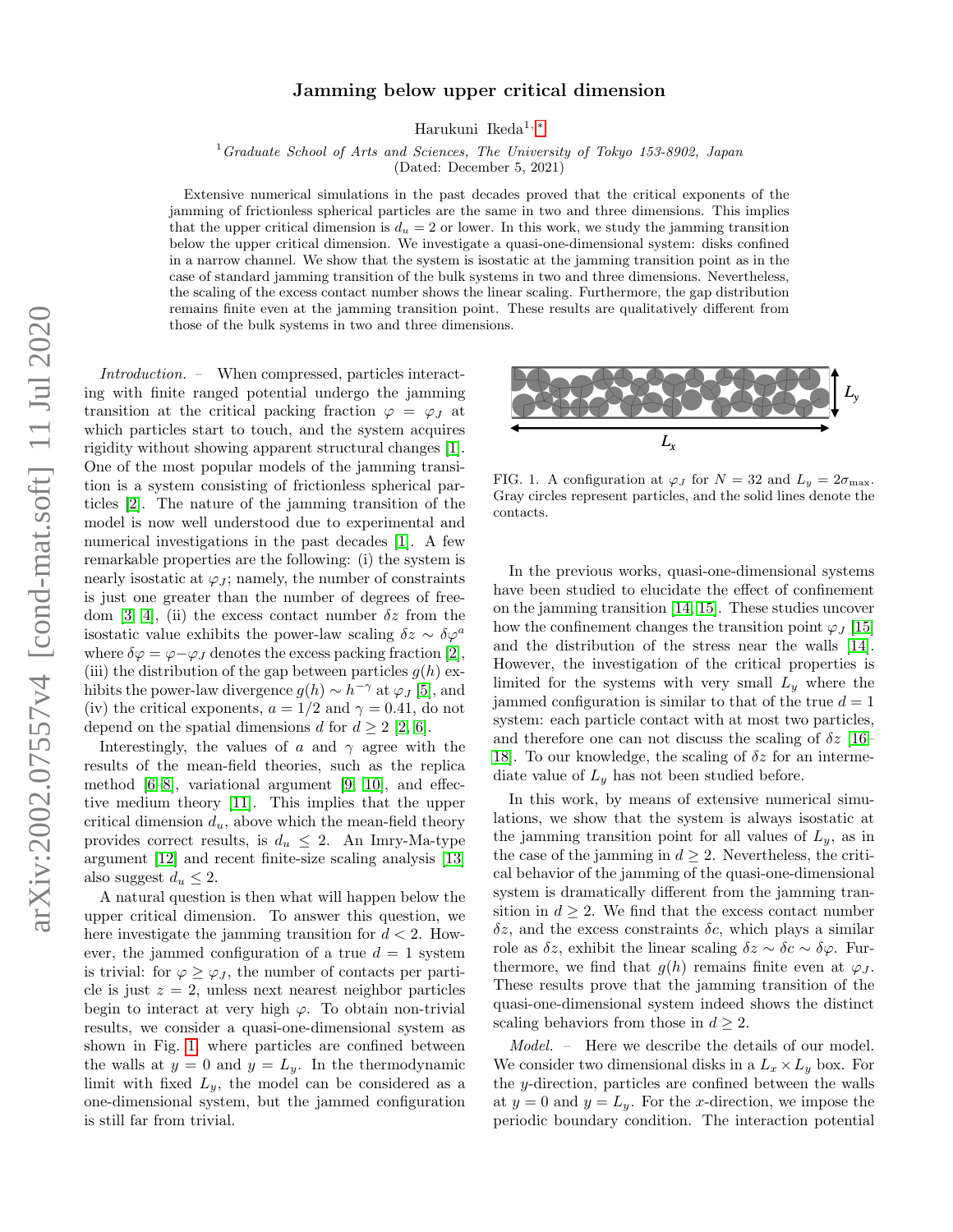## Jamming below upper critical dimension

Harukuni Ikeda1, [∗](#page-4-0)

 $1$  Graduate School of Arts and Sciences, The University of Tokyo 153-8902, Japan

(Dated: December 5, 2021)

Extensive numerical simulations in the past decades proved that the critical exponents of the jamming of frictionless spherical particles are the same in two and three dimensions. This implies that the upper critical dimension is  $d_u = 2$  or lower. In this work, we study the jamming transition below the upper critical dimension. We investigate a quasi-one-dimensional system: disks confined in a narrow channel. We show that the system is isostatic at the jamming transition point as in the case of standard jamming transition of the bulk systems in two and three dimensions. Nevertheless, the scaling of the excess contact number shows the linear scaling. Furthermore, the gap distribution remains finite even at the jamming transition point. These results are qualitatively different from those of the bulk systems in two and three dimensions.

Introduction. – When compressed, particles interacting with finite ranged potential undergo the jamming transition at the critical packing fraction  $\varphi = \varphi_J$  at which particles start to touch, and the system acquires rigidity without showing apparent structural changes [\[1\]](#page-4-1). One of the most popular models of the jamming transition is a system consisting of frictionless spherical particles [\[2\]](#page-4-2). The nature of the jamming transition of the model is now well understood due to experimental and numerical investigations in the past decades [\[1\]](#page-4-1). A few remarkable properties are the following: (i) the system is nearly isostatic at  $\varphi_J$ ; namely, the number of constraints is just one greater than the number of degrees of free-dom [\[3,](#page-4-3) [4\]](#page-4-4), (ii) the excess contact number  $\delta z$  from the isostatic value exhibits the power-law scaling  $\delta z \sim \delta \varphi^a$ where  $\delta\varphi = \varphi - \varphi_J$  denotes the excess packing fraction [\[2\]](#page-4-2), (iii) the distribution of the gap between particles  $g(h)$  exhibits the power-law divergence  $g(h) \sim h^{-\gamma}$  at  $\varphi_J$  [\[5\]](#page-4-5), and (iv) the critical exponents,  $a = 1/2$  and  $\gamma = 0.41$ , do not depend on the spatial dimensions d for  $d \geq 2$  [\[2,](#page-4-2) [6\]](#page-4-6).

Interestingly, the values of a and  $\gamma$  agree with the results of the mean-field theories, such as the replica method  $[6–8]$  $[6–8]$ , variational argument  $[9, 10]$  $[9, 10]$ , and effective medium theory [\[11\]](#page-4-10). This implies that the upper critical dimension  $d_u$ , above which the mean-field theory provides correct results, is  $d_u \leq 2$ . An Imry-Ma-type argument [\[12\]](#page-4-11) and recent finite-size scaling analysis [\[13\]](#page-4-12) also suggest  $d_u \leq 2$ .

A natural question is then what will happen below the upper critical dimension. To answer this question, we here investigate the jamming transition for  $d < 2$ . However, the jammed configuration of a true  $d = 1$  system is trivial: for  $\varphi \geq \varphi_J$ , the number of contacts per particle is just  $z = 2$ , unless next nearest neighbor particles begin to interact at very high  $\varphi$ . To obtain non-trivial results, we consider a quasi-one-dimensional system as shown in Fig. [1,](#page-0-0) where particles are confined between the walls at  $y = 0$  and  $y = L_y$ . In the thermodynamic limit with fixed  $L_y$ , the model can be considered as a one-dimensional system, but the jammed configuration is still far from trivial.



<span id="page-0-0"></span>FIG. 1. A configuration at  $\varphi_J$  for  $N = 32$  and  $L_y = 2\sigma_{\text{max}}$ . Gray circles represent particles, and the solid lines denote the contacts.

In the previous works, quasi-one-dimensional systems have been studied to elucidate the effect of confinement on the jamming transition [\[14,](#page-4-13) [15\]](#page-4-14). These studies uncover how the confinement changes the transition point  $\varphi_J$  [\[15\]](#page-4-14) and the distribution of the stress near the walls [\[14\]](#page-4-13). However, the investigation of the critical properties is limited for the systems with very small  $L_y$  where the jammed configuration is similar to that of the true  $d = 1$ system: each particle contact with at most two particles, and therefore one can not discuss the scaling of  $\delta z$  [\[16–](#page-4-15) 18. To our knowledge, the scaling of  $\delta z$  for an intermediate value of  $L_y$  has not been studied before.

In this work, by means of extensive numerical simulations, we show that the system is always isostatic at the jamming transition point for all values of  $L_y$ , as in the case of the jamming in  $d \geq 2$ . Nevertheless, the critical behavior of the jamming of the quasi-one-dimensional system is dramatically different from the jamming transition in  $d \geq 2$ . We find that the excess contact number  $\delta z$ , and the excess constraints  $\delta c$ , which plays a similar role as  $\delta z$ , exhibit the linear scaling  $\delta z \sim \delta c \sim \delta \varphi$ . Furthermore, we find that  $g(h)$  remains finite even at  $\varphi_J$ . These results prove that the jamming transition of the quasi-one-dimensional system indeed shows the distinct scaling behaviors from those in  $d \geq 2$ .

Model. – Here we describe the details of our model. We consider two dimensional disks in a  $L_x \times L_y$  box. For the y-direction, particles are confined between the walls at  $y = 0$  and  $y = L_y$ . For the x-direction, we impose the periodic boundary condition. The interaction potential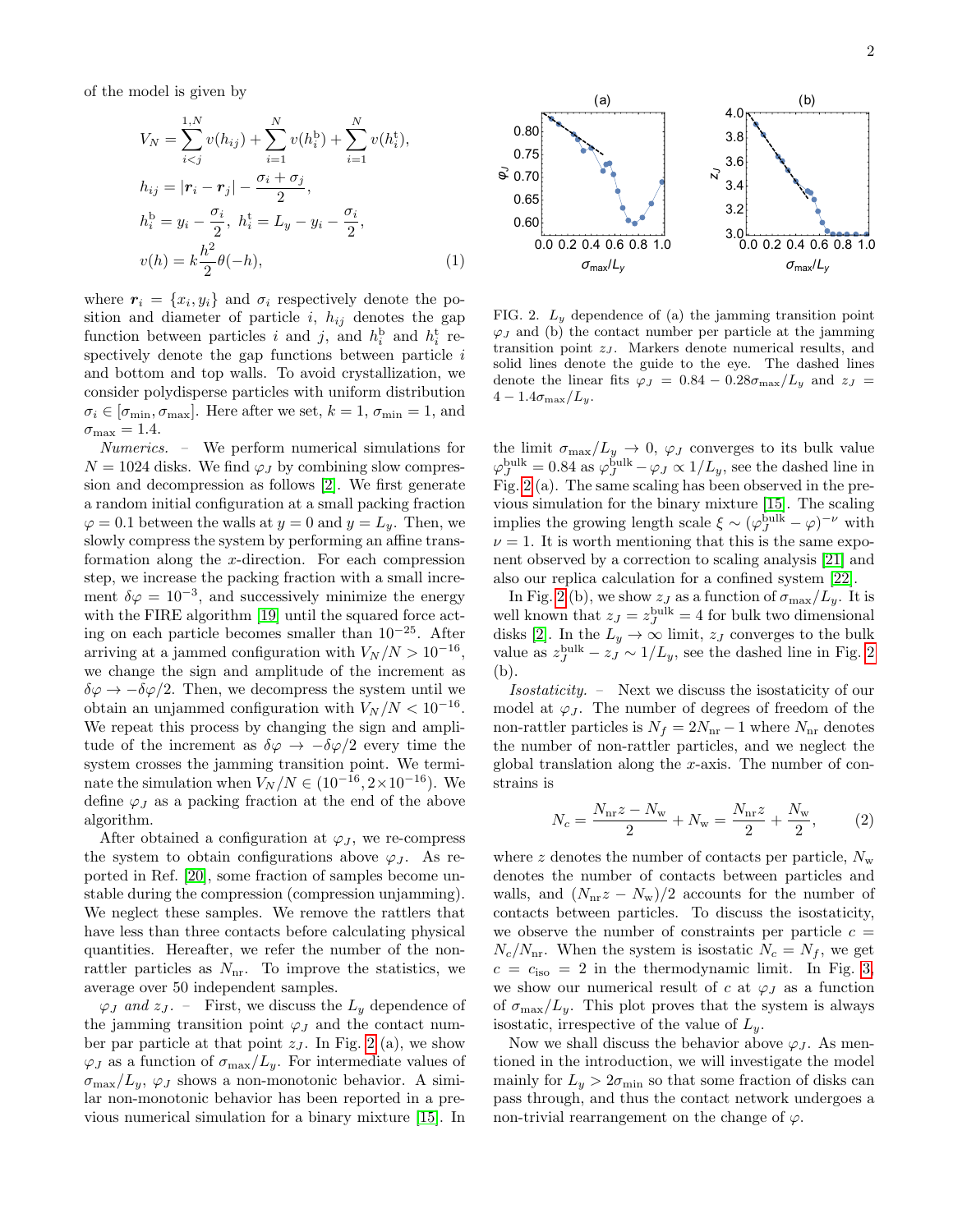of the model is given by

$$
V_N = \sum_{i < j}^{1, N} v(h_{ij}) + \sum_{i=1}^{N} v(h_i^b) + \sum_{i=1}^{N} v(h_i^t),
$$
\n
$$
h_{ij} = |\mathbf{r}_i - \mathbf{r}_j| - \frac{\sigma_i + \sigma_j}{2},
$$
\n
$$
h_i^b = y_i - \frac{\sigma_i}{2}, \quad h_i^t = L_y - y_i - \frac{\sigma_i}{2},
$$
\n
$$
v(h) = k \frac{h^2}{2} \theta(-h),
$$
\n(1)

where  $r_i = \{x_i, y_i\}$  and  $\sigma_i$  respectively denote the position and diameter of particle i,  $h_{ij}$  denotes the gap function between particles *i* and *j*, and  $h_i^{\text{b}}$  and  $h_i^{\text{t}}$  respectively denote the gap functions between particle  $i$ and bottom and top walls. To avoid crystallization, we consider polydisperse particles with uniform distribution  $\sigma_i \in [\sigma_{\min}, \sigma_{\max}]$ . Here after we set,  $k = 1, \sigma_{\min} = 1$ , and  $\sigma_{\text{max}} = 1.4.$ 

Numerics. – We perform numerical simulations for  $N = 1024$  disks. We find  $\varphi_I$  by combining slow compression and decompression as follows [\[2\]](#page-4-2). We first generate a random initial configuration at a small packing fraction  $\varphi = 0.1$  between the walls at  $y = 0$  and  $y = L_y$ . Then, we slowly compress the system by performing an affine transformation along the x-direction. For each compression step, we increase the packing fraction with a small increment  $\delta \varphi = 10^{-3}$ , and successively minimize the energy with the FIRE algorithm [\[19\]](#page-4-17) until the squared force acting on each particle becomes smaller than 10<sup>−</sup>25. After arriving at a jammed configuration with  $V_N/N > 10^{-16}$ , we change the sign and amplitude of the increment as  $\delta\varphi \to -\delta\varphi/2$ . Then, we decompress the system until we obtain an unjammed configuration with  $V_N/N < 10^{-16}$ . We repeat this process by changing the sign and amplitude of the increment as  $\delta\varphi \to -\delta\varphi/2$  every time the system crosses the jamming transition point. We terminate the simulation when  $V_N/N \in (10^{-16}, 2 \times 10^{-16})$ . We define  $\varphi_J$  as a packing fraction at the end of the above algorithm.  $v(h) = k\frac{h^2}{2}\theta(-h)$ , (1)  $0.90\leq 0.90\leq 0.90\leq 0.90\leq 0.90\leq 0.90\leq 0.90\leq 0.90\leq 0.90\leq 0.90\leq 0.90\leq 0.90\leq 0.90\leq 0.90\leq 0.90\leq 0.90\leq 0.90\leq 0.90\leq 0.90\leq 0.90\leq 0.90\leq 0.90\leq 0.90\leq 0.90\leq 0.$ 

After obtained a configuration at  $\varphi_J$ , we re-compress the system to obtain configurations above  $\varphi_J$ . As reported in Ref. [\[20\]](#page-4-18), some fraction of samples become unstable during the compression (compression unjamming). We neglect these samples. We remove the rattlers that have less than three contacts before calculating physical quantities. Hereafter, we refer the number of the nonrattler particles as  $N_{\rm nr}$ . To improve the statistics, we average over 50 independent samples.

 $\varphi_J$  and  $z_J$ . – First, we discuss the  $L_y$  dependence of the jamming transition point  $\varphi_J$  and the contact number par particle at that point  $z_j$ . In Fig. [2](#page-1-0) (a), we show  $\varphi_J$  as a function of  $\sigma_{\text{max}}/L_y$ . For intermediate values of  $\sigma_{\text{max}}/L_y$ ,  $\varphi_J$  shows a non-monotonic behavior. A similar non-monotonic behavior has been reported in a pre-



<span id="page-1-1"></span><span id="page-1-0"></span>FIG. 2.  $L_y$  dependence of (a) the jamming transition point  $\varphi_J$  and (b) the contact number per particle at the jamming transition point  $z_j$ . Markers denote numerical results, and solid lines denote the guide to the eye. The dashed lines denote the linear fits  $\varphi_J = 0.84 - 0.28\sigma_{\text{max}}/L_y$  and  $z_J =$  $4-1.4\sigma_{\text{max}}/L_y$ .

the limit  $\sigma_{\text{max}}/L_y \rightarrow 0$ ,  $\varphi_J$  converges to its bulk value  $\varphi_J^{\text{bulk}} = 0.84$  as  $\varphi_J^{\text{bulk}} - \varphi_J \propto 1/L_y$ , see the dashed line in Fig. [2](#page-1-0) (a). The same scaling has been observed in the previous simulation for the binary mixture [\[15\]](#page-4-14). The scaling implies the growing length scale  $\xi \sim (\varphi_J^{\text{bulk}} - \varphi)^{-\nu}$  with  $\nu = 1$ . It is worth mentioning that this is the same exponent observed by a correction to scaling analysis [\[21\]](#page-4-19) and also our replica calculation for a confined system [\[22\]](#page-4-20).

In Fig. [2](#page-1-0) (b), we show  $z_J$  as a function of  $\sigma_{\text{max}}/L_y$ . It is well known that  $z_J = z_J^{\text{bulk}} = 4$  for bulk two dimensional disks [\[2\]](#page-4-2). In the  $L_y \rightarrow \infty$  limit,  $z_J$  converges to the bulk value as  $z_J^{\text{bulk}} - z_J \sim 1/L_y$ , see the dashed line in Fig. [2](#page-1-0) (b).

Isostaticity. – Next we discuss the isostaticity of our model at  $\varphi_J$ . The number of degrees of freedom of the non-rattler particles is  $N_f = 2N_{\text{nr}} - 1$  where  $N_{\text{nr}}$  denotes the number of non-rattler particles, and we neglect the global translation along the x-axis. The number of constrains is

$$
N_c = \frac{N_{\rm nr}z - N_{\rm w}}{2} + N_{\rm w} = \frac{N_{\rm nr}z}{2} + \frac{N_{\rm w}}{2},\qquad(2)
$$

where z denotes the number of contacts per particle,  $N_{\rm w}$ denotes the number of contacts between particles and walls, and  $(N_{\rm nr}z - N_{\rm w})/2$  accounts for the number of contacts between particles. To discuss the isostaticity, we observe the number of constraints per particle  $c =$  $N_c/N_{\rm nr}$ . When the system is isostatic  $N_c = N_f$ , we get  $c = c_{\text{iso}} = 2$  in the thermodynamic limit. In Fig. [3,](#page-2-0) we show our numerical result of c at  $\varphi_J$  as a function of  $\sigma_{\text{max}}/L_y$ . This plot proves that the system is always isostatic, irrespective of the value of  $L_u$ .

Now we shall discuss the behavior above  $\varphi_I$ . As mentioned in the introduction, we will investigate the model mainly for  $L_y > 2\sigma_{\min}$  so that some fraction of disks can pass through, and thus the contact network undergoes a non-trivial rearrangement on the change of  $\varphi$ .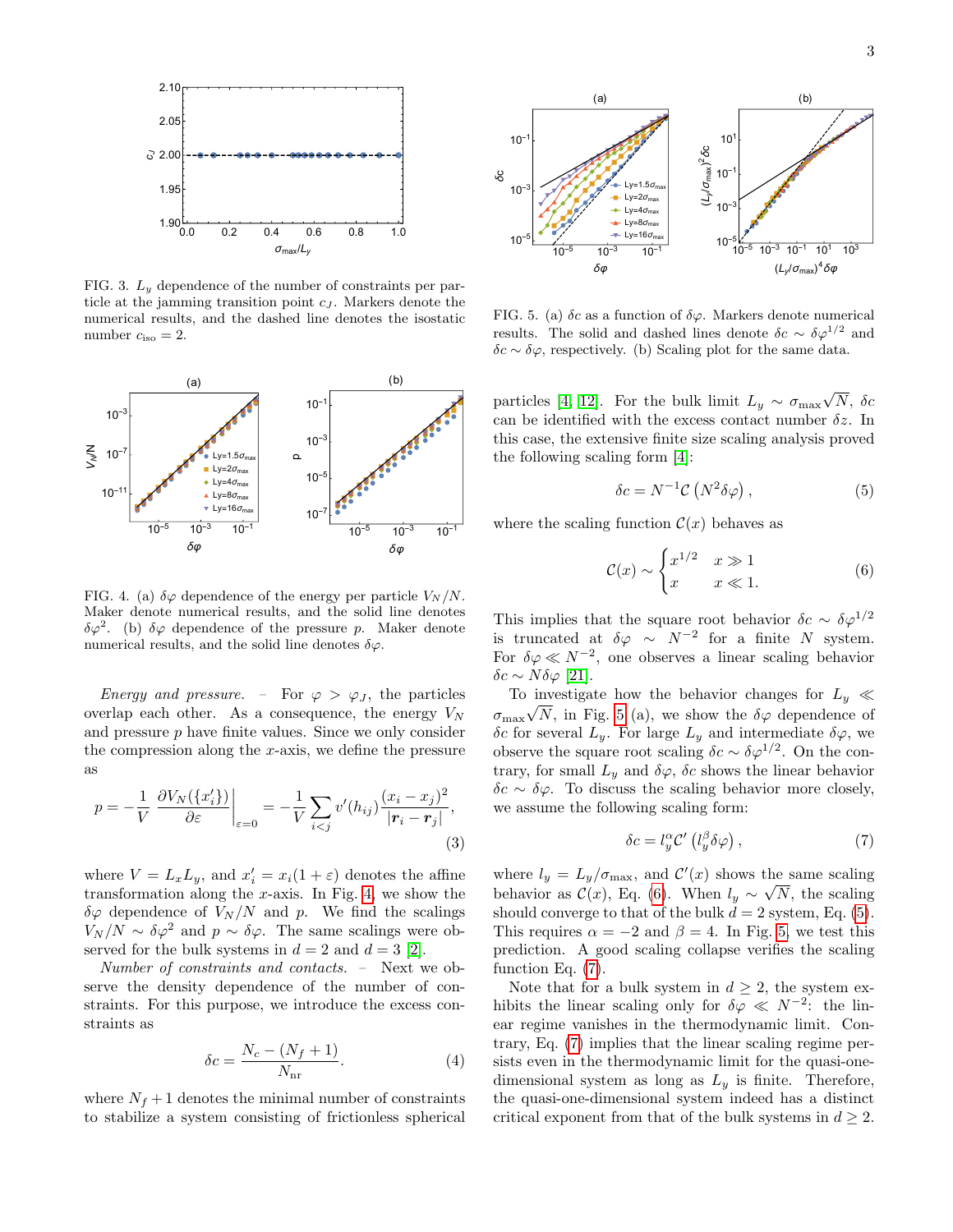

<span id="page-2-0"></span>FIG. 3.  $L_y$  dependence of the number of constraints per particle at the jamming transition point  $c_J$ . Markers denote the numerical results, and the dashed line denotes the isostatic number  $c_{\text{iso}} = 2$ .



<span id="page-2-1"></span>FIG. 4. (a)  $\delta\varphi$  dependence of the energy per particle  $V_N/N$ . Maker denote numerical results, and the solid line denotes  $\delta\varphi^2$ . (b)  $\delta\varphi$  dependence of the pressure p. Maker denote numerical results, and the solid line denotes  $\delta\varphi$ .

Energy and pressure. – For  $\varphi > \varphi_J$ , the particles overlap each other. As a consequence, the energy  $V_N$ and pressure  $p$  have finite values. Since we only consider the compression along the  $x$ -axis, we define the pressure as

$$
p = -\frac{1}{V} \left. \frac{\partial V_N(\{x_i'\})}{\partial \varepsilon} \right|_{\varepsilon=0} = -\frac{1}{V} \sum_{i < j} v'(h_{ij}) \frac{(x_i - x_j)^2}{|\mathbf{r}_i - \mathbf{r}_j|},\tag{3}
$$

where  $V = L_x L_y$ , and  $x'_i = x_i(1 + \varepsilon)$  denotes the affine transformation along the  $x$ -axis. In Fig. [4,](#page-2-1) we show the  $\delta\varphi$  dependence of  $V_N/N$  and p. We find the scalings  $V_N/N \sim \delta \varphi^2$  and  $p \sim \delta \varphi$ . The same scalings were observed for the bulk systems in  $d = 2$  and  $d = 3$  [\[2\]](#page-4-2).

Number of constraints and contacts. – Next we observe the density dependence of the number of constraints. For this purpose, we introduce the excess constraints as

$$
\delta c = \frac{N_c - (N_f + 1)}{N_{\text{nr}}}.\tag{4}
$$

where  $N_f + 1$  denotes the minimal number of constraints to stabilize a system consisting of frictionless spherical



<span id="page-2-2"></span>FIG. 5. (a)  $\delta c$  as a function of  $\delta \varphi$ . Markers denote numerical results. The solid and dashed lines denote  $\delta c \sim \delta \varphi^{1/2}$  and  $\delta c \sim \delta \varphi,$  respectively. (b) Scaling plot for the same data.

particles [\[4,](#page-4-4) [12\]](#page-4-11). For the bulk limit  $L_y \sim \sigma_{\text{max}}$ √  $N,~\delta c$ can be identified with the excess contact number  $\delta z$ . In this case, the extensive finite size scaling analysis proved the following scaling form [\[4\]](#page-4-4):

<span id="page-2-4"></span>
$$
\delta c = N^{-1} \mathcal{C} \left( N^2 \delta \varphi \right), \tag{5}
$$

where the scaling function  $\mathcal{C}(x)$  behaves as

<span id="page-2-3"></span>
$$
\mathcal{C}(x) \sim \begin{cases} x^{1/2} & x \gg 1\\ x & x \ll 1. \end{cases} \tag{6}
$$

This implies that the square root behavior  $\delta c \sim \delta \varphi^{1/2}$ is truncated at  $\delta \varphi \sim N^{-2}$  for a finite N system. For  $\delta \varphi \ll N^{-2}$ , one observes a linear scaling behavior δc ∼ Nδϕ [\[21\]](#page-4-19).

To investigate how the behavior changes for  $L_y \ll$  $\sigma_{\text{max}}\sqrt{N}$ , in Fig. [5](#page-2-2) (a), we show the  $\delta\varphi$  dependence of δc for several  $L_y$ . For large  $L_y$  and intermediate δ $\varphi$ , we observe the square root scaling  $\delta c \sim \delta \varphi^{1/2}$ . On the contrary, for small  $L_y$  and  $\delta\varphi$ ,  $\delta c$  shows the linear behavior  $\delta c \sim \delta \varphi$ . To discuss the scaling behavior more closely, we assume the following scaling form:

<span id="page-2-5"></span>
$$
\delta c = l_y^{\alpha} \mathcal{C}' \left( l_y^{\beta} \delta \varphi \right),\tag{7}
$$

where  $l_y = L_y / \sigma_{\text{max}}$ , and  $\mathcal{C}'(x)$  shows the same scaling behavior as  $\mathcal{C}(x)$ , Eq. [\(6\)](#page-2-3). When  $l_y \sim \sqrt{N}$ , the scaling should converge to that of the bulk  $d = 2$  system, Eq. [\(5\)](#page-2-4). This requires  $\alpha = -2$  and  $\beta = 4$ . In Fig. [5,](#page-2-2) we test this prediction. A good scaling collapse verifies the scaling function Eq. [\(7\)](#page-2-5).

Note that for a bulk system in  $d \geq 2$ , the system exhibits the linear scaling only for  $\delta \varphi \ll N^{-2}$ : the linear regime vanishes in the thermodynamic limit. Contrary, Eq. [\(7\)](#page-2-5) implies that the linear scaling regime persists even in the thermodynamic limit for the quasi-onedimensional system as long as  $L_y$  is finite. Therefore, the quasi-one-dimensional system indeed has a distinct critical exponent from that of the bulk systems in  $d \geq 2$ .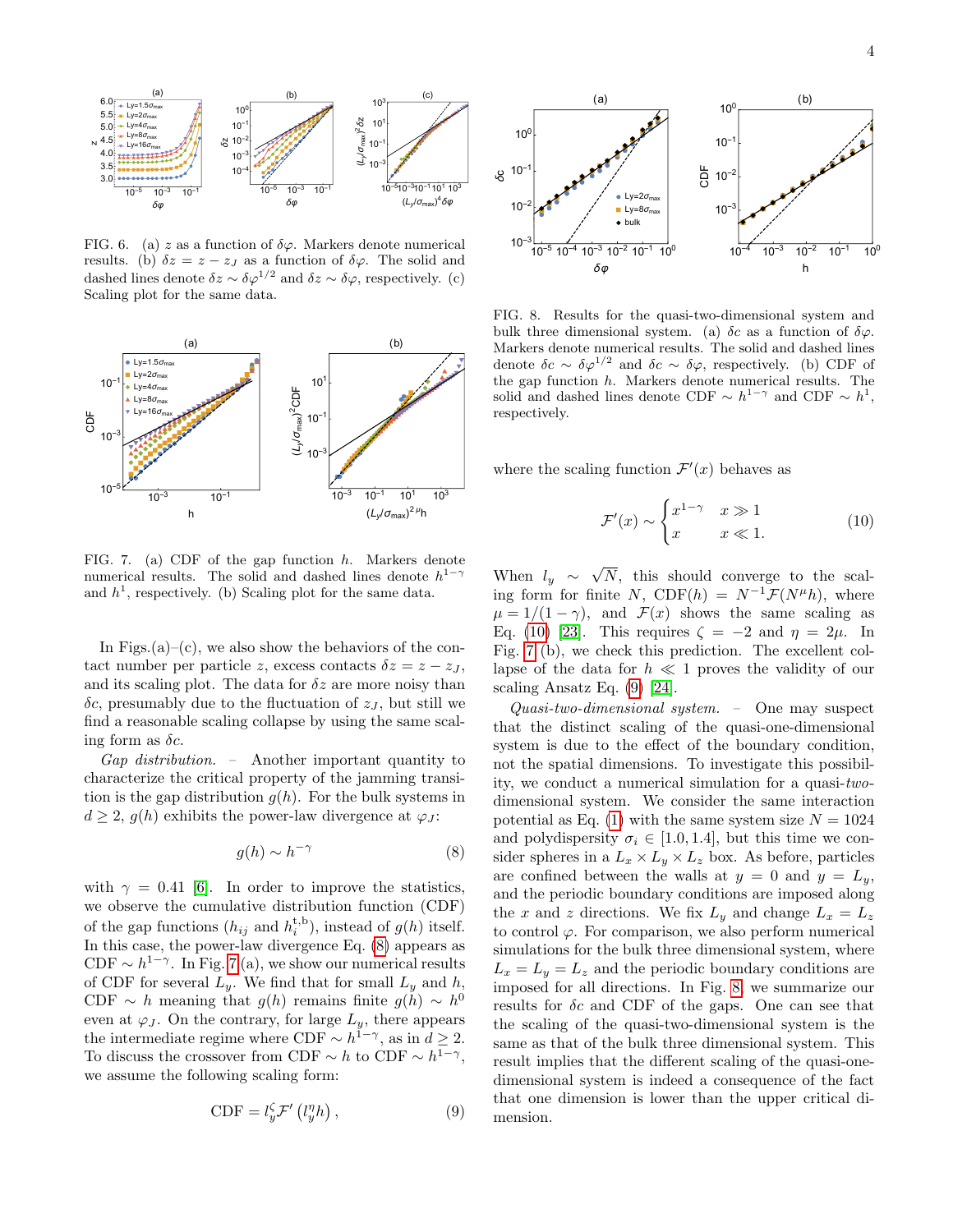

FIG. 6. (a) z as a function of  $\delta\varphi$ . Markers denote numerical results. (b)  $\delta z = z - z_j$  as a function of  $\delta \varphi$ . The solid and dashed lines denote  $\delta z \sim \delta \varphi^{1/2}$  and  $\delta z \sim \delta \varphi$ , respectively. (c) Scaling plot for the same data.



<span id="page-3-1"></span>FIG. 7. (a) CDF of the gap function h. Markers denote numerical results. The solid and dashed lines denote  $h^{1-\gamma}$ and  $h<sup>1</sup>$ , respectively. (b) Scaling plot for the same data.

In Figs. $(a)$ – $(c)$ , we also show the behaviors of the contact number per particle z, excess contacts  $\delta z = z - z_J$ , and its scaling plot. The data for  $\delta z$  are more noisy than  $\delta c$ , presumably due to the fluctuation of  $z<sub>J</sub>$ , but still we find a reasonable scaling collapse by using the same scaling form as  $\delta c$ .

Gap distribution. – Another important quantity to characterize the critical property of the jamming transition is the gap distribution  $g(h)$ . For the bulk systems in  $d \geq 2$ ,  $g(h)$  exhibits the power-law divergence at  $\varphi_J$ :

$$
g(h) \sim h^{-\gamma} \tag{8}
$$

with  $\gamma = 0.41$  [\[6\]](#page-4-6). In order to improve the statistics, we observe the cumulative distribution function (CDF) of the gap functions  $(h_{ij}$  and  $h_i^{\text{t},\text{b}})$ , instead of  $g(h)$  itself. In this case, the power-law divergence Eq. [\(8\)](#page-3-0) appears as CDF  $\sim h^{1-\gamma}$ . In Fig. [7](#page-3-1) (a), we show our numerical results of CDF for several  $L_y$ . We find that for small  $L_y$  and h, CDF  $\sim h$  meaning that  $g(h)$  remains finite  $g(h) \sim h^0$ even at  $\varphi_J$ . On the contrary, for large  $L_y$ , there appears the intermediate regime where CDF  $\sim h^{1-\gamma}$ , as in  $d \geq 2$ . To discuss the crossover from CDF  $\sim h$  to CDF  $\sim h^{1-\gamma}$ , we assume the following scaling form:

<span id="page-3-3"></span>
$$
\text{CDF} = l_y^{\zeta} \mathcal{F}'\left(l_y^{\eta} h\right),\tag{9}
$$



<span id="page-3-4"></span>FIG. 8. Results for the quasi-two-dimensional system and bulk three dimensional system. (a)  $\delta c$  as a function of  $\delta \varphi$ . Markers denote numerical results. The solid and dashed lines denote  $\delta c \sim \delta \varphi^{1/2}$  and  $\delta c \sim \delta \varphi$ , respectively. (b) CDF of the gap function  $h$ . Markers denote numerical results. The solid and dashed lines denote CDF  $\sim h^{1-\gamma}$  and CDF  $\sim h^{1}$ , respectively.

where the scaling function  $\mathcal{F}'(x)$  behaves as

<span id="page-3-2"></span>
$$
\mathcal{F}'(x) \sim \begin{cases} x^{1-\gamma} & x \gg 1 \\ x & x \ll 1. \end{cases} \tag{10}
$$

When  $l_y \sim$ √ N, this should converge to the scaling form for finite N, CDF(h) =  $N^{-1} \mathcal{F}(N^{\mu} h)$ , where  $\mu = 1/(1 - \gamma)$ , and  $\mathcal{F}(x)$  shows the same scaling as Eq. [\(10\)](#page-3-2) [\[23\]](#page-4-21). This requires  $\zeta = -2$  and  $\eta = 2\mu$ . In Fig. [7](#page-3-1) (b), we check this prediction. The excellent collapse of the data for  $h \ll 1$  proves the validity of our scaling Ansatz Eq. [\(9\)](#page-3-3) [\[24\]](#page-4-22).

<span id="page-3-0"></span>Quasi-two-dimensional system. – One may suspect that the distinct scaling of the quasi-one-dimensional system is due to the effect of the boundary condition, not the spatial dimensions. To investigate this possibility, we conduct a numerical simulation for a quasi-twodimensional system. We consider the same interaction potential as Eq. [\(1\)](#page-1-1) with the same system size  $N = 1024$ and polydispersity  $\sigma_i \in [1.0, 1.4]$ , but this time we consider spheres in a  $L_x \times L_y \times L_z$  box. As before, particles are confined between the walls at  $y = 0$  and  $y = L_y$ , and the periodic boundary conditions are imposed along the x and z directions. We fix  $L_y$  and change  $L_x = L_z$ to control  $\varphi$ . For comparison, we also perform numerical simulations for the bulk three dimensional system, where  $L_x = L_y = L_z$  and the periodic boundary conditions are imposed for all directions. In Fig. [8,](#page-3-4) we summarize our results for  $\delta c$  and CDF of the gaps. One can see that the scaling of the quasi-two-dimensional system is the same as that of the bulk three dimensional system. This result implies that the different scaling of the quasi-onedimensional system is indeed a consequence of the fact that one dimension is lower than the upper critical dimension.